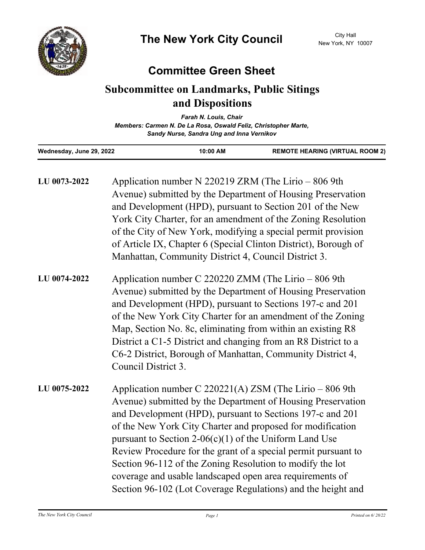

## **Committee Green Sheet**

## **Subcommittee on Landmarks, Public Sitings and Dispositions**

| <b>Farah N. Louis, Chair</b>                                    |  |  |
|-----------------------------------------------------------------|--|--|
| Members: Carmen N. De La Rosa, Oswald Feliz, Christopher Marte, |  |  |
| Sandy Nurse, Sandra Ung and Inna Vernikov                       |  |  |

| Wednesday, June 29, 2022 | 10:00 AM                                                                                                                                                                                                                                                                                                                                                                                                                                                                                                | <b>REMOTE HEARING (VIRTUAL ROOM 2)</b> |  |
|--------------------------|---------------------------------------------------------------------------------------------------------------------------------------------------------------------------------------------------------------------------------------------------------------------------------------------------------------------------------------------------------------------------------------------------------------------------------------------------------------------------------------------------------|----------------------------------------|--|
| LU 0073-2022             | Application number N 220219 ZRM (The Lirio $-806$ 9th<br>Avenue) submitted by the Department of Housing Preservation<br>and Development (HPD), pursuant to Section 201 of the New<br>York City Charter, for an amendment of the Zoning Resolution<br>of the City of New York, modifying a special permit provision<br>of Article IX, Chapter 6 (Special Clinton District), Borough of<br>Manhattan, Community District 4, Council District 3.                                                           |                                        |  |
| LU 0074-2022             | Application number C 220220 ZMM (The Lirio – 806 9th<br>Avenue) submitted by the Department of Housing Preservation<br>and Development (HPD), pursuant to Sections 197-c and 201<br>of the New York City Charter for an amendment of the Zoning<br>Map, Section No. 8c, eliminating from within an existing R8<br>District a C1-5 District and changing from an R8 District to a<br>C6-2 District, Borough of Manhattan, Community District 4,<br>Council District 3.                                   |                                        |  |
| LU 0075-2022             | Application number C 220221(A) ZSM (The Lirio $-806$ 9th<br>Avenue) submitted by the Department of Housing Preservation<br>and Development (HPD), pursuant to Sections 197-c and 201<br>of the New York City Charter and proposed for modification<br>pursuant to Section 2-06(c)(1) of the Uniform Land Use<br>Review Procedure for the grant of a special permit pursuant to<br>Section 96-112 of the Zoning Resolution to modify the lot<br>coverage and usable landscaped open area requirements of |                                        |  |

Section 96-102 (Lot Coverage Regulations) and the height and